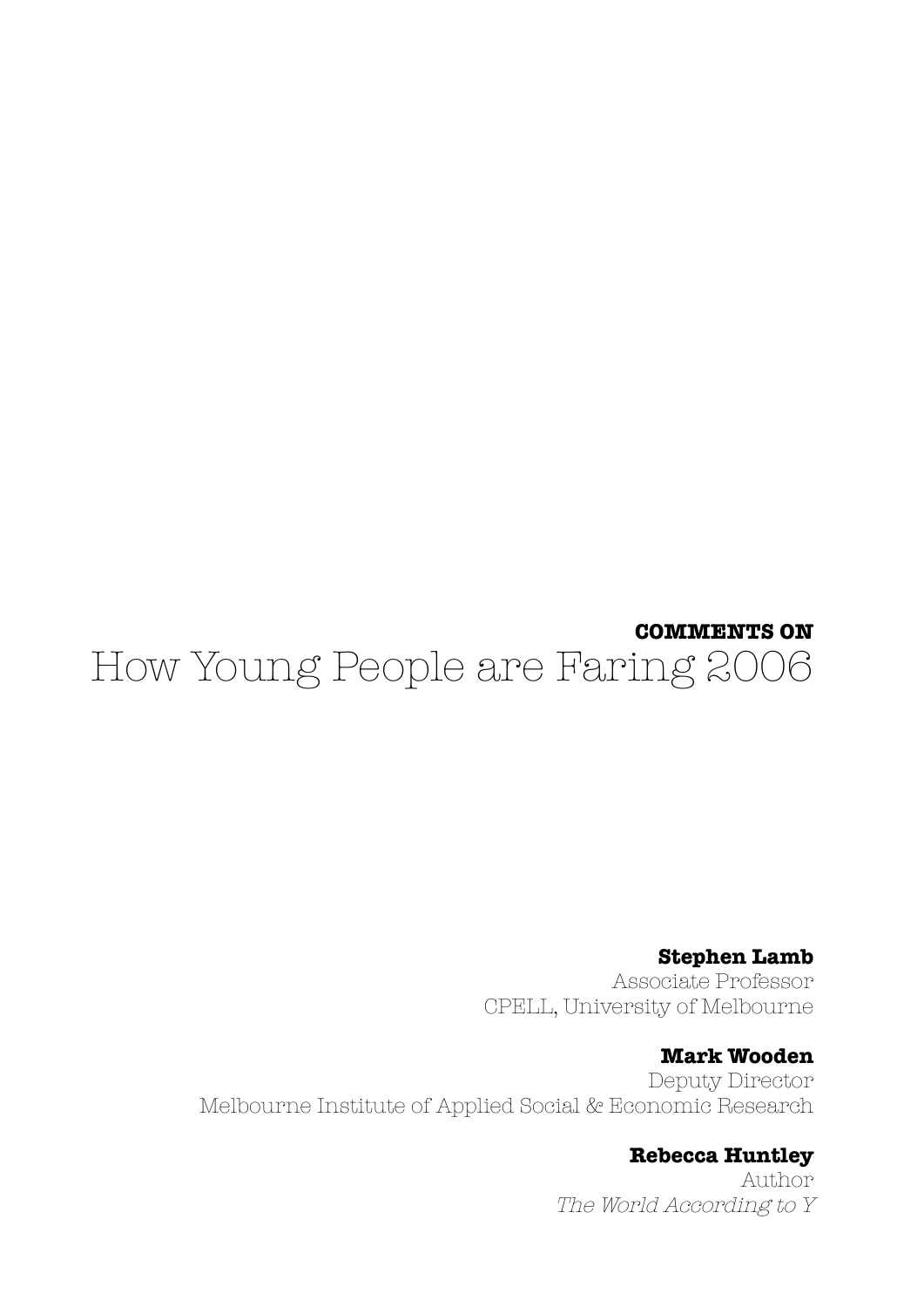# **COMMENTS ON** How Young People are Faring 2006

**Stephen Lamb** Associate Professor CPELL, University of Melbourne

### **Mark Wooden**

Deputy Director Melbourne Institute of Applied Social & Economic Research

**Rebecca Huntley**

Author The World According to Y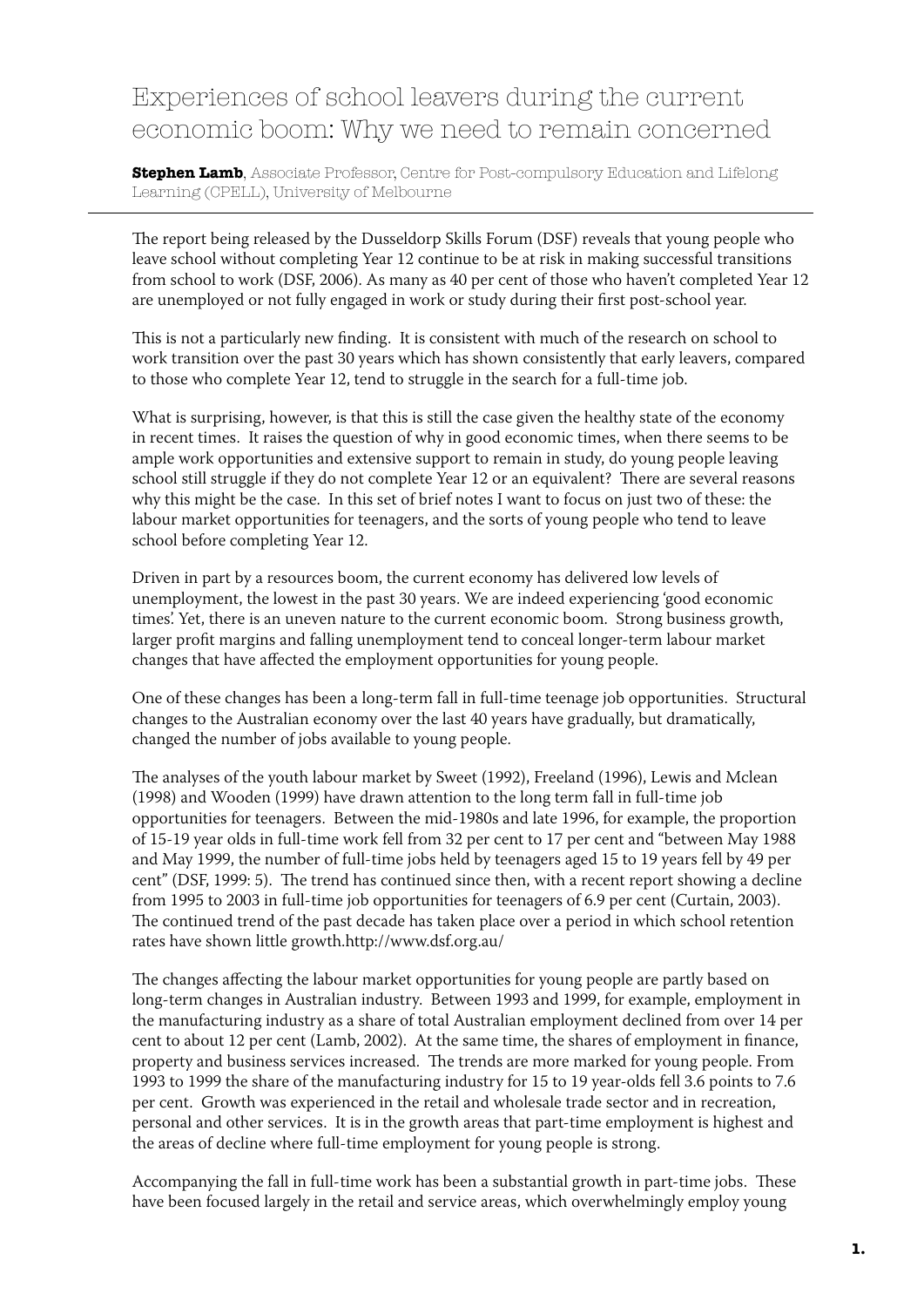### Experiences of school leavers during the current economic boom: Why we need to remain concerned

**Stephen Lamb**, Associate Professor, Centre for Post-compulsory Education and Lifelong Learning (CPELL), University of Melbourne

The report being released by the Dusseldorp Skills Forum (DSF) reveals that young people who leave school without completing Year 12 continue to be at risk in making successful transitions from school to work (DSF, 2006). As many as 40 per cent of those who haven't completed Year 12 are unemployed or not fully engaged in work or study during their first post-school year.

This is not a particularly new finding. It is consistent with much of the research on school to work transition over the past 30 years which has shown consistently that early leavers, compared to those who complete Year 12, tend to struggle in the search for a full-time job.

What is surprising, however, is that this is still the case given the healthy state of the economy in recent times. It raises the question of why in good economic times, when there seems to be ample work opportunities and extensive support to remain in study, do young people leaving school still struggle if they do not complete Year 12 or an equivalent? There are several reasons why this might be the case. In this set of brief notes I want to focus on just two of these: the labour market opportunities for teenagers, and the sorts of young people who tend to leave school before completing Year 12.

Driven in part by a resources boom, the current economy has delivered low levels of unemployment, the lowest in the past 30 years. We are indeed experiencing 'good economic times'. Yet, there is an uneven nature to the current economic boom. Strong business growth, larger profit margins and falling unemployment tend to conceal longer-term labour market changes that have affected the employment opportunities for young people.

One of these changes has been a long-term fall in full-time teenage job opportunities. Structural changes to the Australian economy over the last 40 years have gradually, but dramatically, changed the number of jobs available to young people.

The analyses of the youth labour market by Sweet (1992), Freeland (1996), Lewis and Mclean (1998) and Wooden (1999) have drawn attention to the long term fall in full-time job opportunities for teenagers. Between the mid-1980s and late 1996, for example, the proportion of 15-19 year olds in full-time work fell from 32 per cent to 17 per cent and "between May 1988 and May 1999, the number of full-time jobs held by teenagers aged 15 to 19 years fell by 49 per cent" (DSF, 1999: 5). The trend has continued since then, with a recent report showing a decline from 1995 to 2003 in full-time job opportunities for teenagers of 6.9 per cent (Curtain, 2003). The continued trend of the past decade has taken place over a period in which school retention rates have shown little growth.http://www.dsf.org.au/

The changes affecting the labour market opportunities for young people are partly based on long-term changes in Australian industry. Between 1993 and 1999, for example, employment in the manufacturing industry as a share of total Australian employment declined from over 14 per cent to about 12 per cent (Lamb, 2002). At the same time, the shares of employment in finance, property and business services increased. The trends are more marked for young people. From 1993 to 1999 the share of the manufacturing industry for 15 to 19 year-olds fell 3.6 points to 7.6 per cent. Growth was experienced in the retail and wholesale trade sector and in recreation, personal and other services. It is in the growth areas that part-time employment is highest and the areas of decline where full-time employment for young people is strong.

Accompanying the fall in full-time work has been a substantial growth in part-time jobs. These have been focused largely in the retail and service areas, which overwhelmingly employ young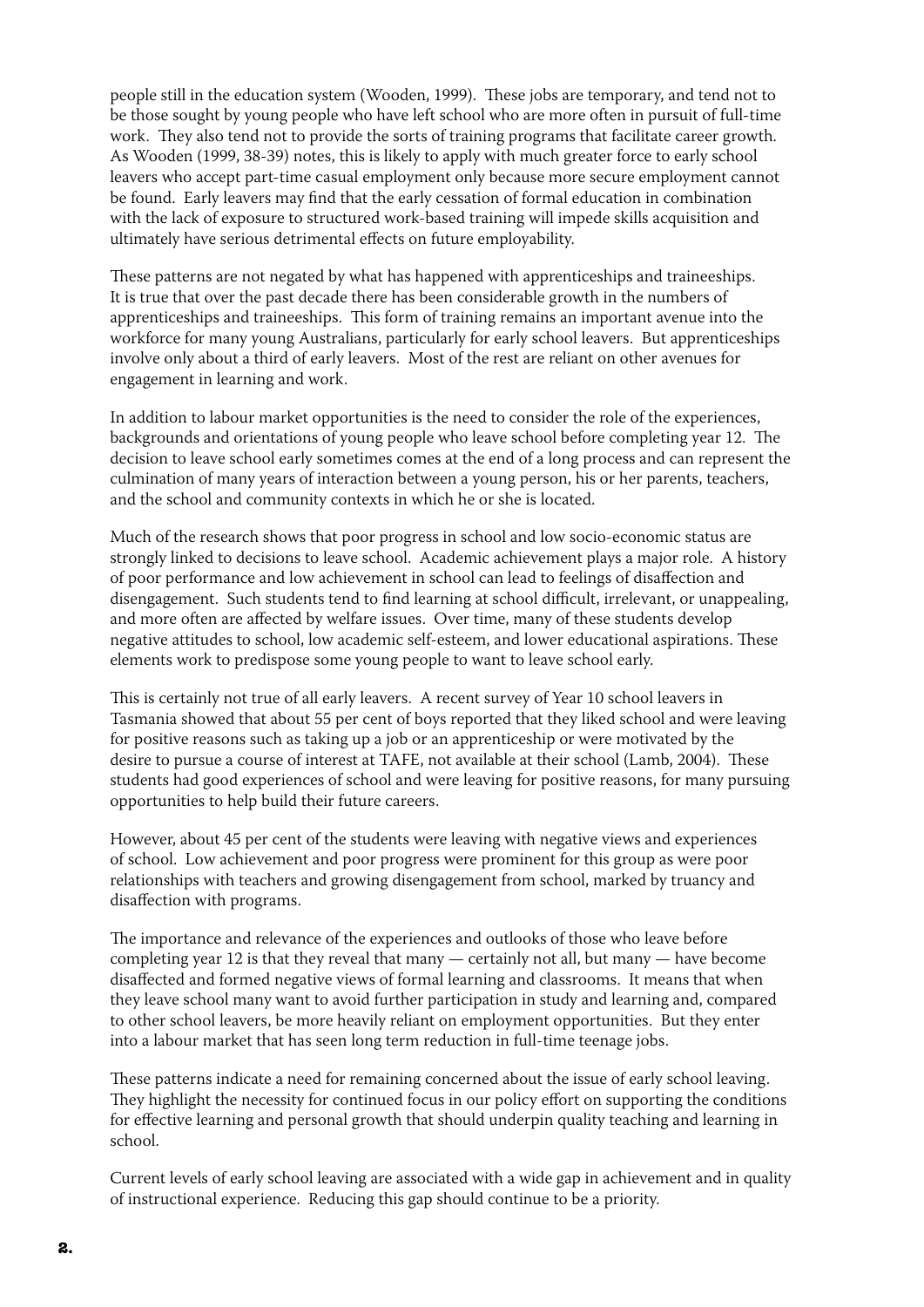people still in the education system (Wooden, 1999). These jobs are temporary, and tend not to be those sought by young people who have left school who are more often in pursuit of full-time work. They also tend not to provide the sorts of training programs that facilitate career growth. As Wooden (1999, 38-39) notes, this is likely to apply with much greater force to early school leavers who accept part-time casual employment only because more secure employment cannot be found. Early leavers may find that the early cessation of formal education in combination with the lack of exposure to structured work-based training will impede skills acquisition and ultimately have serious detrimental effects on future employability.

These patterns are not negated by what has happened with apprenticeships and traineeships. It is true that over the past decade there has been considerable growth in the numbers of apprenticeships and traineeships. This form of training remains an important avenue into the workforce for many young Australians, particularly for early school leavers. But apprenticeships involve only about a third of early leavers. Most of the rest are reliant on other avenues for engagement in learning and work.

In addition to labour market opportunities is the need to consider the role of the experiences, backgrounds and orientations of young people who leave school before completing year 12. The decision to leave school early sometimes comes at the end of a long process and can represent the culmination of many years of interaction between a young person, his or her parents, teachers, and the school and community contexts in which he or she is located.

Much of the research shows that poor progress in school and low socio-economic status are strongly linked to decisions to leave school. Academic achievement plays a major role. A history of poor performance and low achievement in school can lead to feelings of disaffection and disengagement. Such students tend to find learning at school difficult, irrelevant, or unappealing, and more often are affected by welfare issues. Over time, many of these students develop negative attitudes to school, low academic self-esteem, and lower educational aspirations. These elements work to predispose some young people to want to leave school early.

This is certainly not true of all early leavers. A recent survey of Year 10 school leavers in Tasmania showed that about 55 per cent of boys reported that they liked school and were leaving for positive reasons such as taking up a job or an apprenticeship or were motivated by the desire to pursue a course of interest at TAFE, not available at their school (Lamb, 2004). These students had good experiences of school and were leaving for positive reasons, for many pursuing opportunities to help build their future careers.

However, about 45 per cent of the students were leaving with negative views and experiences of school. Low achievement and poor progress were prominent for this group as were poor relationships with teachers and growing disengagement from school, marked by truancy and disaffection with programs.

The importance and relevance of the experiences and outlooks of those who leave before completing year 12 is that they reveal that many — certainly not all, but many — have become disaffected and formed negative views of formal learning and classrooms. It means that when they leave school many want to avoid further participation in study and learning and, compared to other school leavers, be more heavily reliant on employment opportunities. But they enter into a labour market that has seen long term reduction in full-time teenage jobs.

These patterns indicate a need for remaining concerned about the issue of early school leaving. They highlight the necessity for continued focus in our policy effort on supporting the conditions for effective learning and personal growth that should underpin quality teaching and learning in school.

Current levels of early school leaving are associated with a wide gap in achievement and in quality of instructional experience. Reducing this gap should continue to be a priority.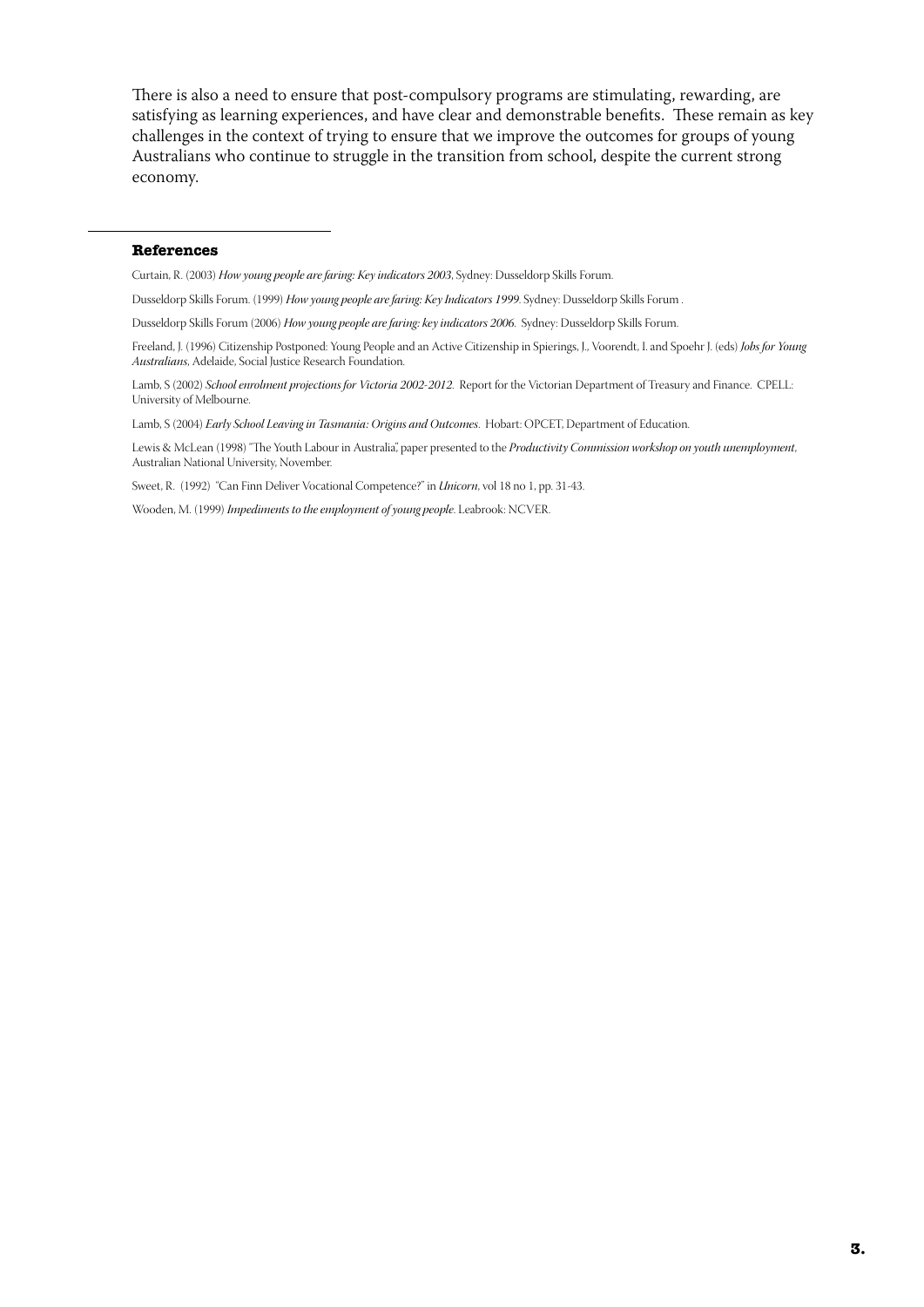There is also a need to ensure that post-compulsory programs are stimulating, rewarding, are satisfying as learning experiences, and have clear and demonstrable benefits. These remain as key challenges in the context of trying to ensure that we improve the outcomes for groups of young Australians who continue to struggle in the transition from school, despite the current strong economy.

#### **References**

Curtain, R. (2003) *How young people are faring: Key indicators 2003*, Sydney: Dusseldorp Skills Forum.

Dusseldorp Skills Forum. (1999) *How young people are faring: Key Indicators 1999*. Sydney: Dusseldorp Skills Forum .

Dusseldorp Skills Forum (2006) *How young people are faring: key indicators 2006*. Sydney: Dusseldorp Skills Forum.

Freeland, J. (1996) Citizenship Postponed: Young People and an Active Citizenship in Spierings, J., Voorendt, I. and Spoehr J. (eds) *Jobs for Young Australians*, Adelaide, Social Justice Research Foundation.

Lamb, S (2002) *School enrolment projections for Victoria 2002-2012*. Report for the Victorian Department of Treasury and Finance. CPELL: University of Melbourne.

Lamb, S (2004) *Early School Leaving in Tasmania: Origins and Outcomes*. Hobart: OPCET, Department of Education.

Lewis & McLean (1998) "The Youth Labour in Australia", paper presented to the *Productivity Commission workshop on youth unemployment*, Australian National University, November.

Sweet, R. (1992) "Can Finn Deliver Vocational Competence?" in *Unicorn*, vol 18 no 1, pp. 31-43.

Wooden, M. (1999) *Impediments to the employment of young people*. Leabrook: NCVER.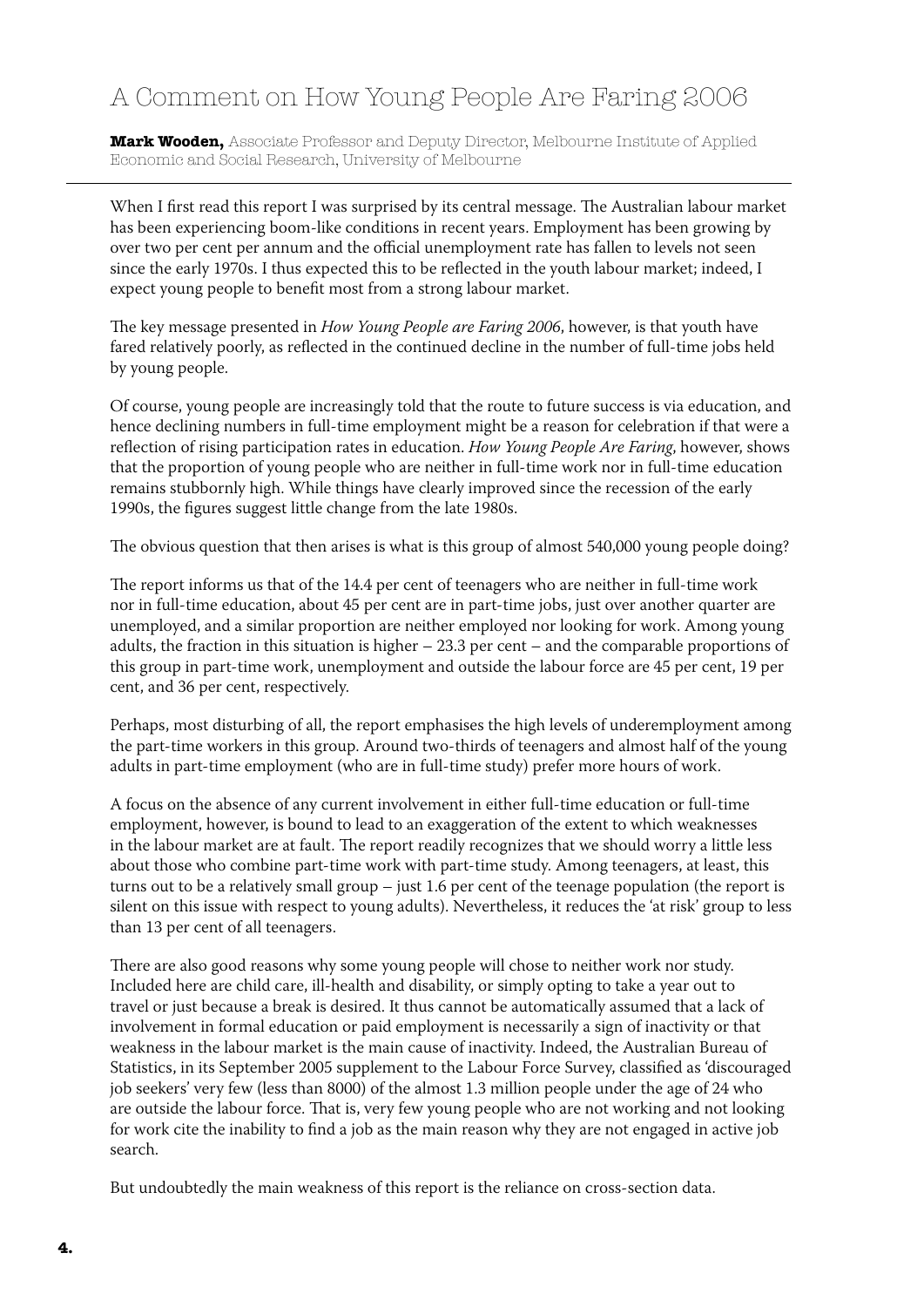## A Comment on How Young People Are Faring 2006

**Mark Wooden,** Associate Professor and Deputy Director, Melbourne Institute of Applied Economic and Social Research, University of Melbourne

When I first read this report I was surprised by its central message. The Australian labour market has been experiencing boom-like conditions in recent years. Employment has been growing by over two per cent per annum and the official unemployment rate has fallen to levels not seen since the early 1970s. I thus expected this to be reflected in the youth labour market; indeed, I expect young people to benefit most from a strong labour market.

The key message presented in *How Young People are Faring 2006*, however, is that youth have fared relatively poorly, as reflected in the continued decline in the number of full-time jobs held by young people.

Of course, young people are increasingly told that the route to future success is via education, and hence declining numbers in full-time employment might be a reason for celebration if that were a reflection of rising participation rates in education. *How Young People Are Faring*, however, shows that the proportion of young people who are neither in full-time work nor in full-time education remains stubbornly high. While things have clearly improved since the recession of the early 1990s, the figures suggest little change from the late 1980s.

The obvious question that then arises is what is this group of almost 540,000 young people doing?

The report informs us that of the 14.4 per cent of teenagers who are neither in full-time work nor in full-time education, about 45 per cent are in part-time jobs, just over another quarter are unemployed, and a similar proportion are neither employed nor looking for work. Among young adults, the fraction in this situation is higher – 23.3 per cent – and the comparable proportions of this group in part-time work, unemployment and outside the labour force are 45 per cent, 19 per cent, and 36 per cent, respectively.

Perhaps, most disturbing of all, the report emphasises the high levels of underemployment among the part-time workers in this group. Around two-thirds of teenagers and almost half of the young adults in part-time employment (who are in full-time study) prefer more hours of work.

A focus on the absence of any current involvement in either full-time education or full-time employment, however, is bound to lead to an exaggeration of the extent to which weaknesses in the labour market are at fault. The report readily recognizes that we should worry a little less about those who combine part-time work with part-time study. Among teenagers, at least, this turns out to be a relatively small group – just 1.6 per cent of the teenage population (the report is silent on this issue with respect to young adults). Nevertheless, it reduces the 'at risk' group to less than 13 per cent of all teenagers.

There are also good reasons why some young people will chose to neither work nor study. Included here are child care, ill-health and disability, or simply opting to take a year out to travel or just because a break is desired. It thus cannot be automatically assumed that a lack of involvement in formal education or paid employment is necessarily a sign of inactivity or that weakness in the labour market is the main cause of inactivity. Indeed, the Australian Bureau of Statistics, in its September 2005 supplement to the Labour Force Survey, classified as 'discouraged job seekers' very few (less than 8000) of the almost 1.3 million people under the age of 24 who are outside the labour force. That is, very few young people who are not working and not looking for work cite the inability to find a job as the main reason why they are not engaged in active job search.

But undoubtedly the main weakness of this report is the reliance on cross-section data.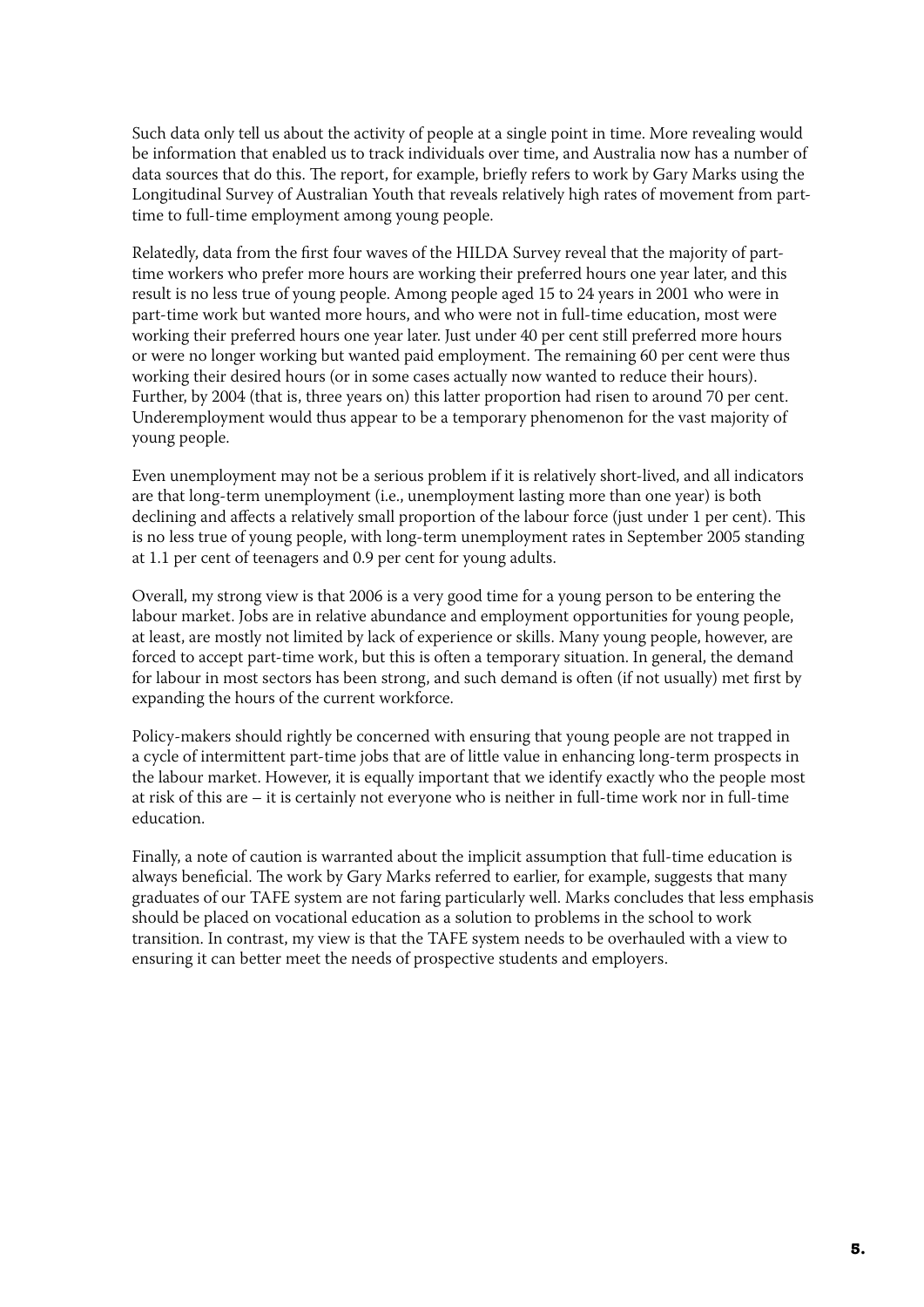Such data only tell us about the activity of people at a single point in time. More revealing would be information that enabled us to track individuals over time, and Australia now has a number of data sources that do this. The report, for example, briefly refers to work by Gary Marks using the Longitudinal Survey of Australian Youth that reveals relatively high rates of movement from parttime to full-time employment among young people.

Relatedly, data from the first four waves of the HILDA Survey reveal that the majority of parttime workers who prefer more hours are working their preferred hours one year later, and this result is no less true of young people. Among people aged 15 to 24 years in 2001 who were in part-time work but wanted more hours, and who were not in full-time education, most were working their preferred hours one year later. Just under 40 per cent still preferred more hours or were no longer working but wanted paid employment. The remaining 60 per cent were thus working their desired hours (or in some cases actually now wanted to reduce their hours). Further, by 2004 (that is, three years on) this latter proportion had risen to around 70 per cent. Underemployment would thus appear to be a temporary phenomenon for the vast majority of young people.

Even unemployment may not be a serious problem if it is relatively short-lived, and all indicators are that long-term unemployment (i.e., unemployment lasting more than one year) is both declining and affects a relatively small proportion of the labour force (just under 1 per cent). This is no less true of young people, with long-term unemployment rates in September 2005 standing at 1.1 per cent of teenagers and 0.9 per cent for young adults.

Overall, my strong view is that 2006 is a very good time for a young person to be entering the labour market. Jobs are in relative abundance and employment opportunities for young people, at least, are mostly not limited by lack of experience or skills. Many young people, however, are forced to accept part-time work, but this is often a temporary situation. In general, the demand for labour in most sectors has been strong, and such demand is often (if not usually) met first by expanding the hours of the current workforce.

Policy-makers should rightly be concerned with ensuring that young people are not trapped in a cycle of intermittent part-time jobs that are of little value in enhancing long-term prospects in the labour market. However, it is equally important that we identify exactly who the people most at risk of this are – it is certainly not everyone who is neither in full-time work nor in full-time education.

Finally, a note of caution is warranted about the implicit assumption that full-time education is always beneficial. The work by Gary Marks referred to earlier, for example, suggests that many graduates of our TAFE system are not faring particularly well. Marks concludes that less emphasis should be placed on vocational education as a solution to problems in the school to work transition. In contrast, my view is that the TAFE system needs to be overhauled with a view to ensuring it can better meet the needs of prospective students and employers.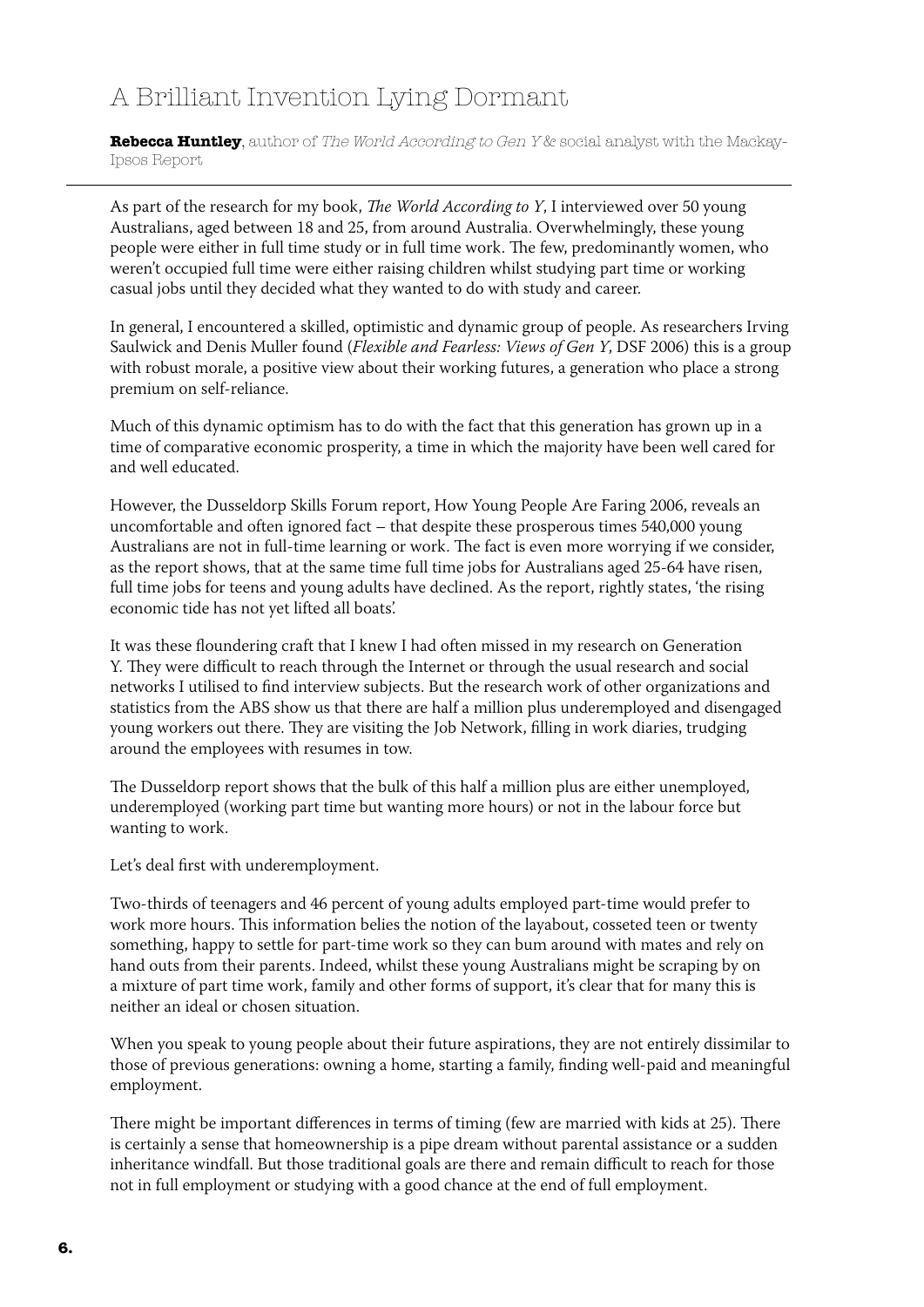## A Brilliant Invention Lying Dormant

**Rebecca Huntley**, author of *The World According to Gen Y &* social analyst with the Mackay-Ipsos Report

As part of the research for my book, *The World According to Y*, I interviewed over 50 young Australians, aged between 18 and 25, from around Australia. Overwhelmingly, these young people were either in full time study or in full time work. The few, predominantly women, who weren't occupied full time were either raising children whilst studying part time or working casual jobs until they decided what they wanted to do with study and career.

In general, I encountered a skilled, optimistic and dynamic group of people. As researchers Irving Saulwick and Denis Muller found (*Flexible and Fearless: Views of Gen Y*, DSF 2006) this is a group with robust morale, a positive view about their working futures, a generation who place a strong premium on self-reliance.

Much of this dynamic optimism has to do with the fact that this generation has grown up in a time of comparative economic prosperity, a time in which the majority have been well cared for and well educated.

However, the Dusseldorp Skills Forum report, How Young People Are Faring 2006, reveals an uncomfortable and often ignored fact – that despite these prosperous times 540,000 young Australians are not in full-time learning or work. The fact is even more worrying if we consider, as the report shows, that at the same time full time jobs for Australians aged 25-64 have risen, full time jobs for teens and young adults have declined. As the report, rightly states, 'the rising economic tide has not yet lifted all boats'.

It was these floundering craft that I knew I had often missed in my research on Generation Y. They were difficult to reach through the Internet or through the usual research and social networks I utilised to find interview subjects. But the research work of other organizations and statistics from the ABS show us that there are half a million plus underemployed and disengaged young workers out there. They are visiting the Job Network, filling in work diaries, trudging around the employees with resumes in tow.

The Dusseldorp report shows that the bulk of this half a million plus are either unemployed, underemployed (working part time but wanting more hours) or not in the labour force but wanting to work.

Let's deal first with underemployment.

Two-thirds of teenagers and 46 percent of young adults employed part-time would prefer to work more hours. This information belies the notion of the layabout, cosseted teen or twenty something, happy to settle for part-time work so they can bum around with mates and rely on hand outs from their parents. Indeed, whilst these young Australians might be scraping by on a mixture of part time work, family and other forms of support, it's clear that for many this is neither an ideal or chosen situation.

When you speak to young people about their future aspirations, they are not entirely dissimilar to those of previous generations: owning a home, starting a family, finding well-paid and meaningful employment.

There might be important differences in terms of timing (few are married with kids at 25). There is certainly a sense that homeownership is a pipe dream without parental assistance or a sudden inheritance windfall. But those traditional goals are there and remain difficult to reach for those not in full employment or studying with a good chance at the end of full employment.